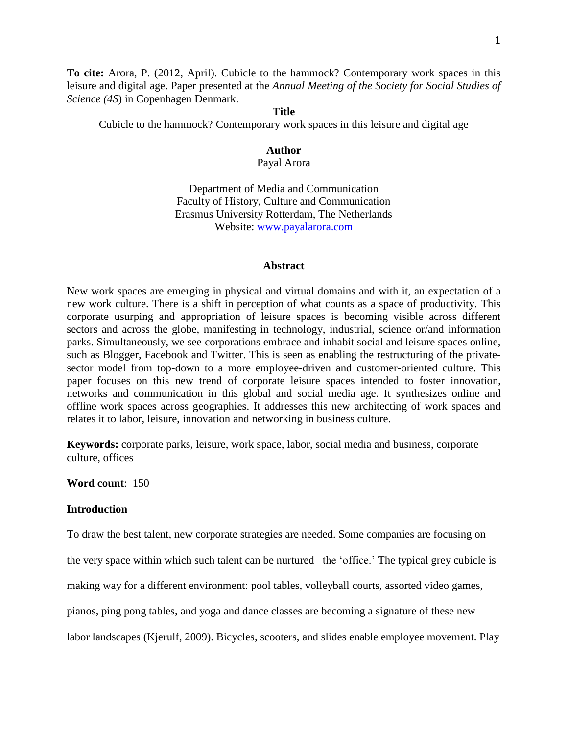**To cite:** Arora, P. (2012, April). Cubicle to the hammock? Contemporary work spaces in this leisure and digital age. Paper presented at the *Annual Meeting of the Society for Social Studies of Science (4S*) in Copenhagen Denmark.

### **Title**

Cubicle to the hammock? Contemporary work spaces in this leisure and digital age

#### **Author** Payal Arora

Department of Media and Communication Faculty of History, Culture and Communication Erasmus University Rotterdam, The Netherlands Website: [www.payalarora.com](http://www.payalarora.com/)

#### **Abstract**

New work spaces are emerging in physical and virtual domains and with it, an expectation of a new work culture. There is a shift in perception of what counts as a space of productivity. This corporate usurping and appropriation of leisure spaces is becoming visible across different sectors and across the globe, manifesting in technology, industrial, science or/and information parks. Simultaneously, we see corporations embrace and inhabit social and leisure spaces online, such as Blogger, Facebook and Twitter. This is seen as enabling the restructuring of the privatesector model from top-down to a more employee-driven and customer-oriented culture. This paper focuses on this new trend of corporate leisure spaces intended to foster innovation, networks and communication in this global and social media age. It synthesizes online and offline work spaces across geographies. It addresses this new architecting of work spaces and relates it to labor, leisure, innovation and networking in business culture.

**Keywords:** corporate parks, leisure, work space, labor, social media and business, corporate culture, offices

**Word count**: 150

### **Introduction**

To draw the best talent, new corporate strategies are needed. Some companies are focusing on

the very space within which such talent can be nurtured –the 'office.' The typical grey cubicle is

making way for a different environment: pool tables, volleyball courts, assorted video games,

pianos, ping pong tables, and yoga and dance classes are becoming a signature of these new

labor landscapes (Kjerulf, 2009). Bicycles, scooters, and slides enable employee movement. Play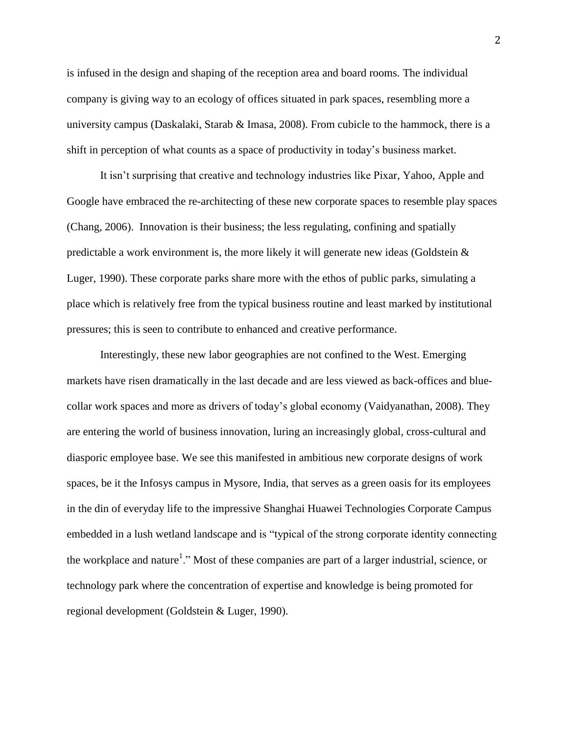is infused in the design and shaping of the reception area and board rooms. The individual company is giving way to an ecology of offices situated in park spaces, resembling more a university campus (Daskalaki, Starab & Imasa, 2008). From cubicle to the hammock, there is a shift in perception of what counts as a space of productivity in today's business market.

It isn't surprising that creative and technology industries like Pixar, Yahoo, Apple and Google have embraced the re-architecting of these new corporate spaces to resemble play spaces (Chang, 2006). Innovation is their business; the less regulating, confining and spatially predictable a work environment is, the more likely it will generate new ideas (Goldstein  $\&$ Luger, 1990). These corporate parks share more with the ethos of public parks, simulating a place which is relatively free from the typical business routine and least marked by institutional pressures; this is seen to contribute to enhanced and creative performance.

Interestingly, these new labor geographies are not confined to the West. Emerging markets have risen dramatically in the last decade and are less viewed as back-offices and bluecollar work spaces and more as drivers of today's global economy (Vaidyanathan, 2008). They are entering the world of business innovation, luring an increasingly global, cross-cultural and diasporic employee base. We see this manifested in ambitious new corporate designs of work spaces, be it the Infosys campus in Mysore, India, that serves as a green oasis for its employees in the din of everyday life to the impressive Shanghai Huawei Technologies Corporate Campus embedded in a lush wetland landscape and is "typical of the strong corporate identity connecting the workplace and nature<sup>1</sup>." Most of these companies are part of a larger industrial, science, or technology park where the concentration of expertise and knowledge is being promoted for regional development (Goldstein & Luger, 1990).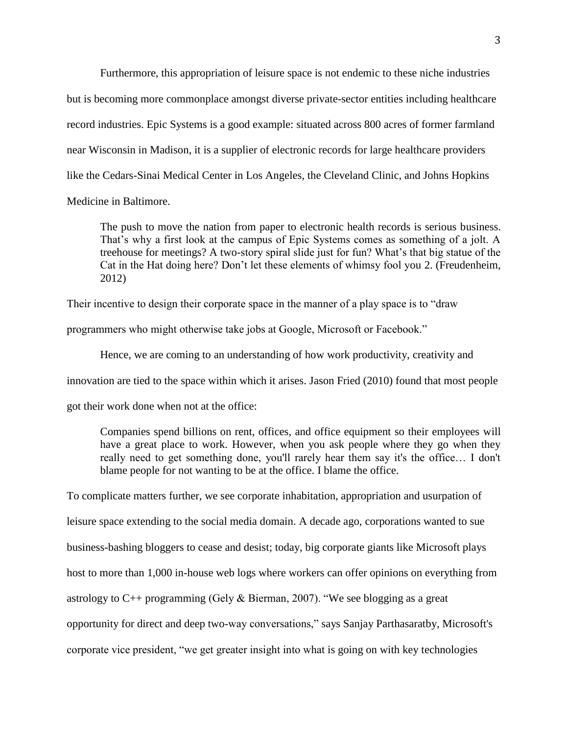Furthermore, this appropriation of leisure space is not endemic to these niche industries but is becoming more commonplace amongst diverse private-sector entities including healthcare record industries. Epic Systems is a good example: situated across 800 acres of former farmland near Wisconsin in Madison, it is a supplier of electronic records for large healthcare providers like the Cedars-Sinai Medical Center in Los Angeles, the Cleveland Clinic, and Johns Hopkins Medicine in Baltimore.

The push to move the nation from paper to electronic health records is serious business. That's why a first look at the campus of Epic Systems comes as something of a jolt. A treehouse for meetings? A two-story spiral slide just for fun? What's that big statue of the Cat in the Hat doing here? Don't let these elements of whimsy fool you 2. (Freudenheim, 2012)

Their incentive to design their corporate space in the manner of a play space is to "draw

programmers who might otherwise take jobs at Google, Microsoft or Facebook."

Hence, we are coming to an understanding of how work productivity, creativity and

innovation are tied to the space within which it arises. Jason Fried (2010) found that most people

got their work done when not at the office:

Companies spend billions on rent, offices, and office equipment so their employees will have a great place to work. However, when you ask people where they go when they really need to get something done, you'll rarely hear them say it's the office… I don't blame people for not wanting to be at the office. I blame the office.

To complicate matters further, we see corporate inhabitation, appropriation and usurpation of leisure space extending to the social media domain. A decade ago, corporations wanted to sue business-bashing bloggers to cease and desist; today, big corporate giants like Microsoft plays host to more than 1,000 in-house web logs where workers can offer opinions on everything from astrology to C++ programming (Gely & Bierman, 2007). "We see blogging as a great opportunity for direct and deep two-way conversations," says Sanjay Parthasaratby, Microsoft's corporate vice president, "we get greater insight into what is going on with key technologies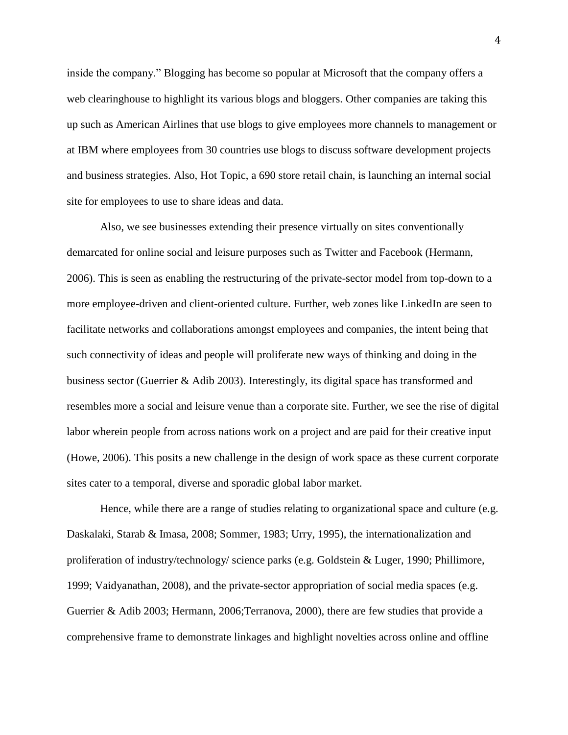inside the company." Blogging has become so popular at Microsoft that the company offers a web clearinghouse to highlight its various blogs and bloggers. Other companies are taking this up such as American Airlines that use blogs to give employees more channels to management or at IBM where employees from 30 countries use blogs to discuss software development projects and business strategies. Also, Hot Topic, a 690 store retail chain, is launching an internal social site for employees to use to share ideas and data.

Also, we see businesses extending their presence virtually on sites conventionally demarcated for online social and leisure purposes such as Twitter and Facebook (Hermann, 2006). This is seen as enabling the restructuring of the private-sector model from top-down to a more employee-driven and client-oriented culture. Further, web zones like LinkedIn are seen to facilitate networks and collaborations amongst employees and companies, the intent being that such connectivity of ideas and people will proliferate new ways of thinking and doing in the business sector (Guerrier & Adib 2003). Interestingly, its digital space has transformed and resembles more a social and leisure venue than a corporate site. Further, we see the rise of digital labor wherein people from across nations work on a project and are paid for their creative input (Howe, 2006). This posits a new challenge in the design of work space as these current corporate sites cater to a temporal, diverse and sporadic global labor market.

Hence, while there are a range of studies relating to organizational space and culture (e.g. Daskalaki, Starab & Imasa, 2008; Sommer, 1983; Urry, 1995), the internationalization and proliferation of industry/technology/ science parks (e.g. Goldstein & Luger, 1990; Phillimore, 1999; Vaidyanathan, 2008), and the private-sector appropriation of social media spaces (e.g. Guerrier & Adib 2003; Hermann, 2006;Terranova, 2000), there are few studies that provide a comprehensive frame to demonstrate linkages and highlight novelties across online and offline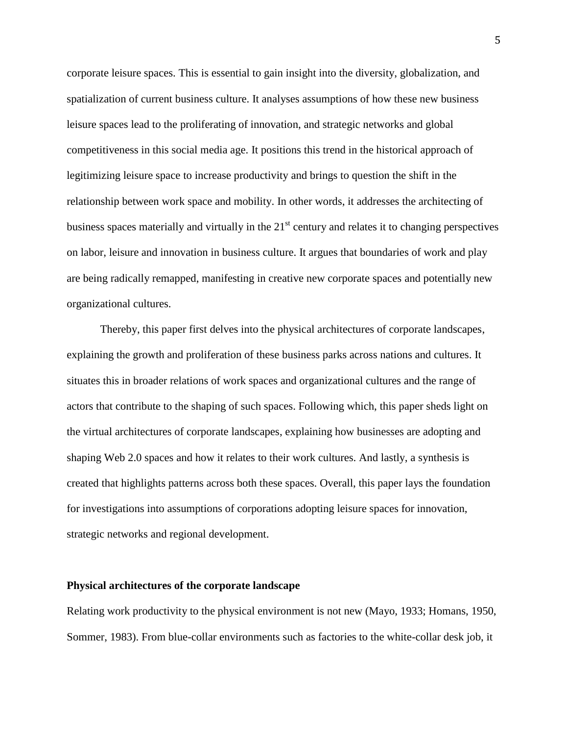corporate leisure spaces. This is essential to gain insight into the diversity, globalization, and spatialization of current business culture. It analyses assumptions of how these new business leisure spaces lead to the proliferating of innovation, and strategic networks and global competitiveness in this social media age. It positions this trend in the historical approach of legitimizing leisure space to increase productivity and brings to question the shift in the relationship between work space and mobility. In other words, it addresses the architecting of business spaces materially and virtually in the  $21<sup>st</sup>$  century and relates it to changing perspectives on labor, leisure and innovation in business culture. It argues that boundaries of work and play are being radically remapped, manifesting in creative new corporate spaces and potentially new organizational cultures.

Thereby, this paper first delves into the physical architectures of corporate landscapes, explaining the growth and proliferation of these business parks across nations and cultures. It situates this in broader relations of work spaces and organizational cultures and the range of actors that contribute to the shaping of such spaces. Following which, this paper sheds light on the virtual architectures of corporate landscapes, explaining how businesses are adopting and shaping Web 2.0 spaces and how it relates to their work cultures. And lastly, a synthesis is created that highlights patterns across both these spaces. Overall, this paper lays the foundation for investigations into assumptions of corporations adopting leisure spaces for innovation, strategic networks and regional development.

# **Physical architectures of the corporate landscape**

Relating work productivity to the physical environment is not new (Mayo, 1933; Homans, 1950, Sommer, 1983). From blue-collar environments such as factories to the white-collar desk job, it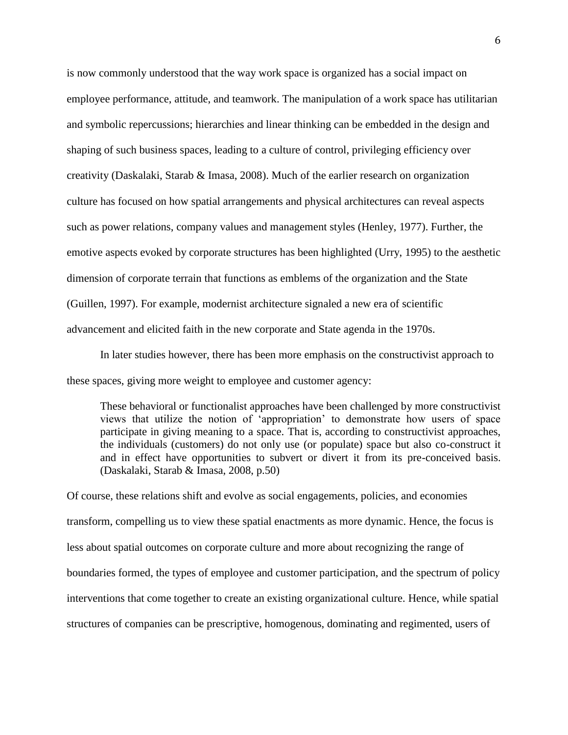is now commonly understood that the way work space is organized has a social impact on employee performance, attitude, and teamwork. The manipulation of a work space has utilitarian and symbolic repercussions; hierarchies and linear thinking can be embedded in the design and shaping of such business spaces, leading to a culture of control, privileging efficiency over creativity (Daskalaki, Starab & Imasa, 2008). Much of the earlier research on organization culture has focused on how spatial arrangements and physical architectures can reveal aspects such as power relations, company values and management styles (Henley, 1977). Further, the emotive aspects evoked by corporate structures has been highlighted (Urry, 1995) to the aesthetic dimension of corporate terrain that functions as emblems of the organization and the State (Guillen, 1997). For example, modernist architecture signaled a new era of scientific advancement and elicited faith in the new corporate and State agenda in the 1970s.

In later studies however, there has been more emphasis on the constructivist approach to these spaces, giving more weight to employee and customer agency:

These behavioral or functionalist approaches have been challenged by more constructivist views that utilize the notion of 'appropriation' to demonstrate how users of space participate in giving meaning to a space. That is, according to constructivist approaches, the individuals (customers) do not only use (or populate) space but also co-construct it and in effect have opportunities to subvert or divert it from its pre-conceived basis. (Daskalaki, Starab & Imasa, 2008, p.50)

Of course, these relations shift and evolve as social engagements, policies, and economies transform, compelling us to view these spatial enactments as more dynamic. Hence, the focus is less about spatial outcomes on corporate culture and more about recognizing the range of boundaries formed, the types of employee and customer participation, and the spectrum of policy interventions that come together to create an existing organizational culture. Hence, while spatial structures of companies can be prescriptive, homogenous, dominating and regimented, users of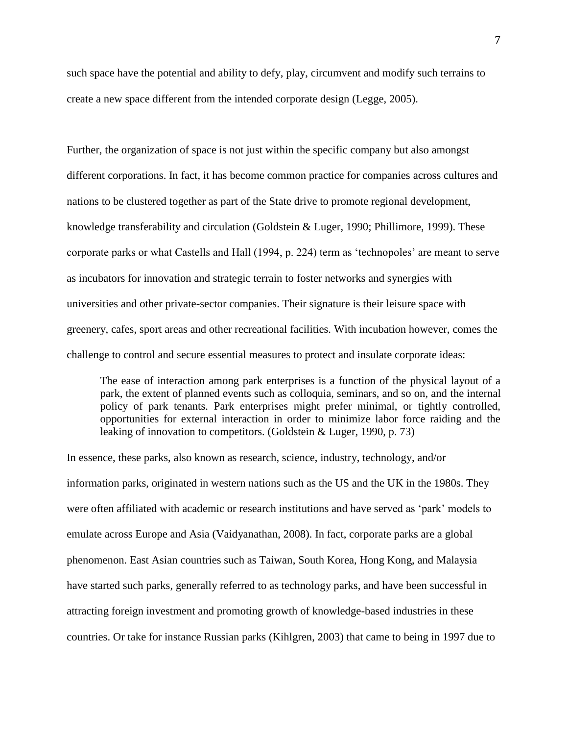such space have the potential and ability to defy, play, circumvent and modify such terrains to create a new space different from the intended corporate design (Legge, 2005).

Further, the organization of space is not just within the specific company but also amongst different corporations. In fact, it has become common practice for companies across cultures and nations to be clustered together as part of the State drive to promote regional development, knowledge transferability and circulation (Goldstein & Luger, 1990; Phillimore, 1999). These corporate parks or what Castells and Hall (1994, p. 224) term as 'technopoles' are meant to serve as incubators for innovation and strategic terrain to foster networks and synergies with universities and other private-sector companies. Their signature is their leisure space with greenery, cafes, sport areas and other recreational facilities. With incubation however, comes the challenge to control and secure essential measures to protect and insulate corporate ideas:

The ease of interaction among park enterprises is a function of the physical layout of a park, the extent of planned events such as colloquia, seminars, and so on, and the internal policy of park tenants. Park enterprises might prefer minimal, or tightly controlled, opportunities for external interaction in order to minimize labor force raiding and the leaking of innovation to competitors. (Goldstein & Luger, 1990, p. 73)

In essence, these parks, also known as research, science, industry, technology, and/or information parks, originated in western nations such as the US and the UK in the 1980s. They were often affiliated with academic or research institutions and have served as 'park' models to emulate across Europe and Asia (Vaidyanathan, 2008). In fact, corporate parks are a global phenomenon. East Asian countries such as Taiwan, South Korea, Hong Kong, and Malaysia have started such parks, generally referred to as technology parks, and have been successful in attracting foreign investment and promoting growth of knowledge-based industries in these countries. Or take for instance Russian parks (Kihlgren, 2003) that came to being in 1997 due to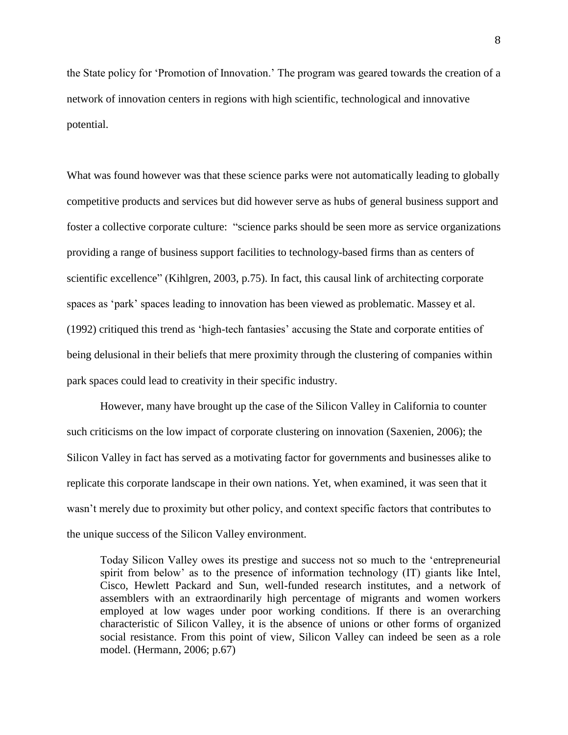the State policy for 'Promotion of Innovation.' The program was geared towards the creation of a network of innovation centers in regions with high scientific, technological and innovative potential.

What was found however was that these science parks were not automatically leading to globally competitive products and services but did however serve as hubs of general business support and foster a collective corporate culture: "science parks should be seen more as service organizations providing a range of business support facilities to technology-based firms than as centers of scientific excellence" (Kihlgren, 2003, p.75). In fact, this causal link of architecting corporate spaces as 'park' spaces leading to innovation has been viewed as problematic. Massey et al. (1992) critiqued this trend as 'high-tech fantasies' accusing the State and corporate entities of being delusional in their beliefs that mere proximity through the clustering of companies within park spaces could lead to creativity in their specific industry.

However, many have brought up the case of the Silicon Valley in California to counter such criticisms on the low impact of corporate clustering on innovation (Saxenien, 2006); the Silicon Valley in fact has served as a motivating factor for governments and businesses alike to replicate this corporate landscape in their own nations. Yet, when examined, it was seen that it wasn't merely due to proximity but other policy, and context specific factors that contributes to the unique success of the Silicon Valley environment.

Today Silicon Valley owes its prestige and success not so much to the 'entrepreneurial spirit from below' as to the presence of information technology (IT) giants like Intel, Cisco, Hewlett Packard and Sun, well-funded research institutes, and a network of assemblers with an extraordinarily high percentage of migrants and women workers employed at low wages under poor working conditions. If there is an overarching characteristic of Silicon Valley, it is the absence of unions or other forms of organized social resistance. From this point of view, Silicon Valley can indeed be seen as a role model. (Hermann, 2006; p.67)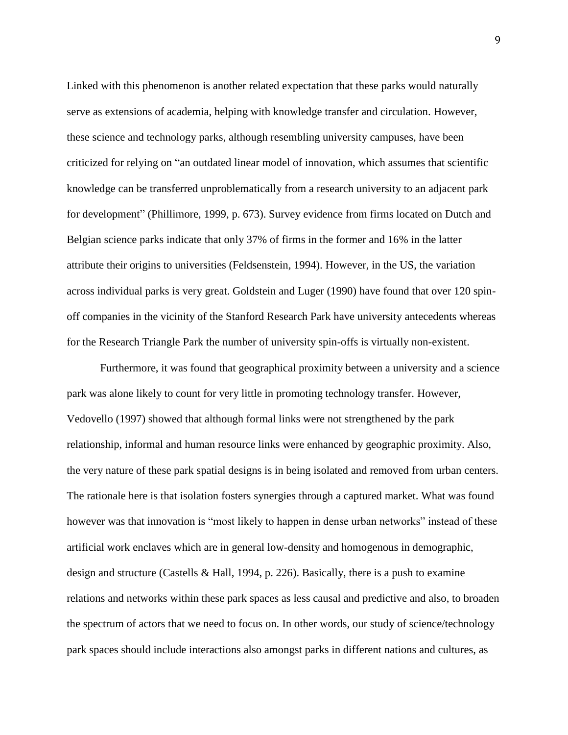Linked with this phenomenon is another related expectation that these parks would naturally serve as extensions of academia, helping with knowledge transfer and circulation. However, these science and technology parks, although resembling university campuses, have been criticized for relying on "an outdated linear model of innovation, which assumes that scientific knowledge can be transferred unproblematically from a research university to an adjacent park for development" (Phillimore, 1999, p. 673). Survey evidence from firms located on Dutch and Belgian science parks indicate that only 37% of firms in the former and 16% in the latter attribute their origins to universities (Feldsenstein, 1994). However, in the US, the variation across individual parks is very great. Goldstein and Luger (1990) have found that over 120 spinoff companies in the vicinity of the Stanford Research Park have university antecedents whereas for the Research Triangle Park the number of university spin-offs is virtually non-existent.

Furthermore, it was found that geographical proximity between a university and a science park was alone likely to count for very little in promoting technology transfer. However, Vedovello (1997) showed that although formal links were not strengthened by the park relationship, informal and human resource links were enhanced by geographic proximity. Also, the very nature of these park spatial designs is in being isolated and removed from urban centers. The rationale here is that isolation fosters synergies through a captured market. What was found however was that innovation is "most likely to happen in dense urban networks" instead of these artificial work enclaves which are in general low-density and homogenous in demographic, design and structure (Castells & Hall, 1994, p. 226). Basically, there is a push to examine relations and networks within these park spaces as less causal and predictive and also, to broaden the spectrum of actors that we need to focus on. In other words, our study of science/technology park spaces should include interactions also amongst parks in different nations and cultures, as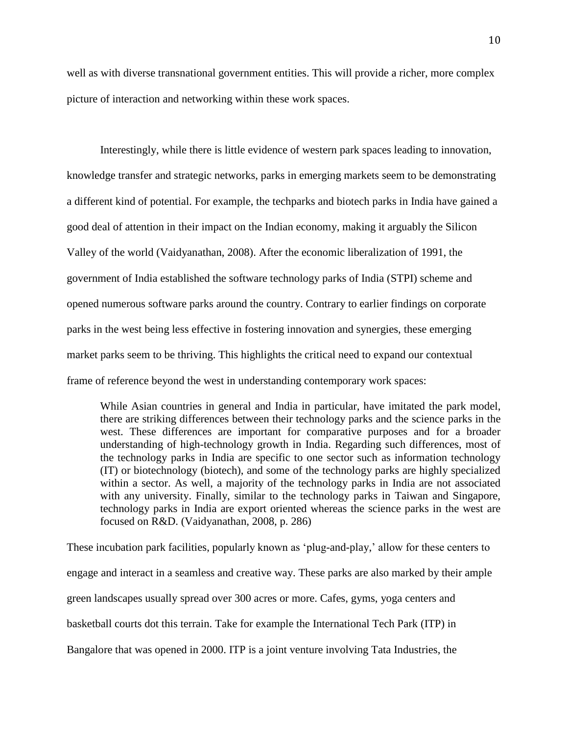well as with diverse transnational government entities. This will provide a richer, more complex picture of interaction and networking within these work spaces.

Interestingly, while there is little evidence of western park spaces leading to innovation, knowledge transfer and strategic networks, parks in emerging markets seem to be demonstrating a different kind of potential. For example, the techparks and biotech parks in India have gained a good deal of attention in their impact on the Indian economy, making it arguably the Silicon Valley of the world (Vaidyanathan, 2008). After the economic liberalization of 1991, the government of India established the software technology parks of India (STPI) scheme and opened numerous software parks around the country. Contrary to earlier findings on corporate parks in the west being less effective in fostering innovation and synergies, these emerging market parks seem to be thriving. This highlights the critical need to expand our contextual frame of reference beyond the west in understanding contemporary work spaces:

While Asian countries in general and India in particular, have imitated the park model, there are striking differences between their technology parks and the science parks in the west. These differences are important for comparative purposes and for a broader understanding of high-technology growth in India. Regarding such differences, most of the technology parks in India are specific to one sector such as information technology (IT) or biotechnology (biotech), and some of the technology parks are highly specialized within a sector. As well, a majority of the technology parks in India are not associated with any university. Finally, similar to the technology parks in Taiwan and Singapore, technology parks in India are export oriented whereas the science parks in the west are focused on R&D. (Vaidyanathan, 2008, p. 286)

These incubation park facilities, popularly known as 'plug-and-play,' allow for these centers to engage and interact in a seamless and creative way. These parks are also marked by their ample green landscapes usually spread over 300 acres or more. Cafes, gyms, yoga centers and basketball courts dot this terrain. Take for example the International Tech Park (ITP) in Bangalore that was opened in 2000. ITP is a joint venture involving Tata Industries, the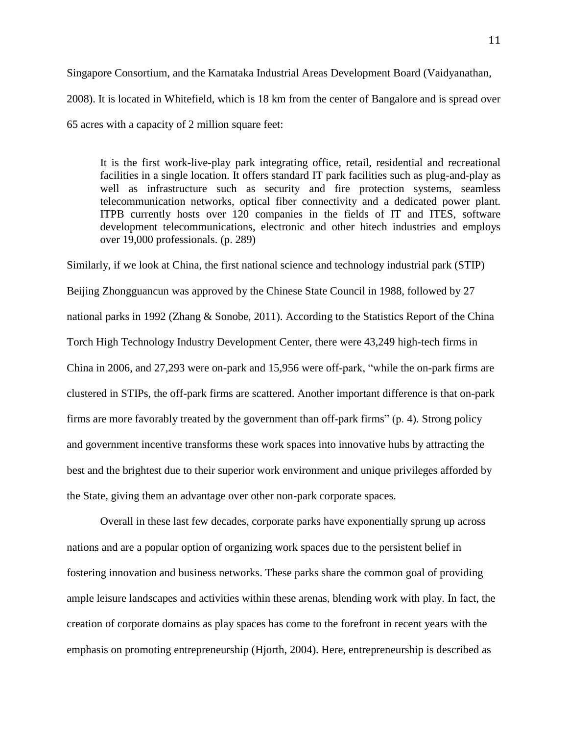Singapore Consortium, and the Karnataka Industrial Areas Development Board (Vaidyanathan, 2008). It is located in Whitefield, which is 18 km from the center of Bangalore and is spread over 65 acres with a capacity of 2 million square feet:

It is the first work-live-play park integrating office, retail, residential and recreational facilities in a single location. It offers standard IT park facilities such as plug-and-play as well as infrastructure such as security and fire protection systems, seamless telecommunication networks, optical fiber connectivity and a dedicated power plant. ITPB currently hosts over 120 companies in the fields of IT and ITES, software development telecommunications, electronic and other hitech industries and employs over 19,000 professionals. (p. 289)

Similarly, if we look at China, the first national science and technology industrial park (STIP) Beijing Zhongguancun was approved by the Chinese State Council in 1988, followed by 27 national parks in 1992 (Zhang & Sonobe, 2011). According to the Statistics Report of the China Torch High Technology Industry Development Center, there were 43,249 high-tech firms in China in 2006, and 27,293 were on-park and 15,956 were off-park, "while the on-park firms are clustered in STIPs, the off-park firms are scattered. Another important difference is that on-park firms are more favorably treated by the government than off-park firms" (p. 4). Strong policy and government incentive transforms these work spaces into innovative hubs by attracting the best and the brightest due to their superior work environment and unique privileges afforded by the State, giving them an advantage over other non-park corporate spaces.

Overall in these last few decades, corporate parks have exponentially sprung up across nations and are a popular option of organizing work spaces due to the persistent belief in fostering innovation and business networks. These parks share the common goal of providing ample leisure landscapes and activities within these arenas, blending work with play. In fact, the creation of corporate domains as play spaces has come to the forefront in recent years with the emphasis on promoting entrepreneurship (Hjorth, 2004). Here, entrepreneurship is described as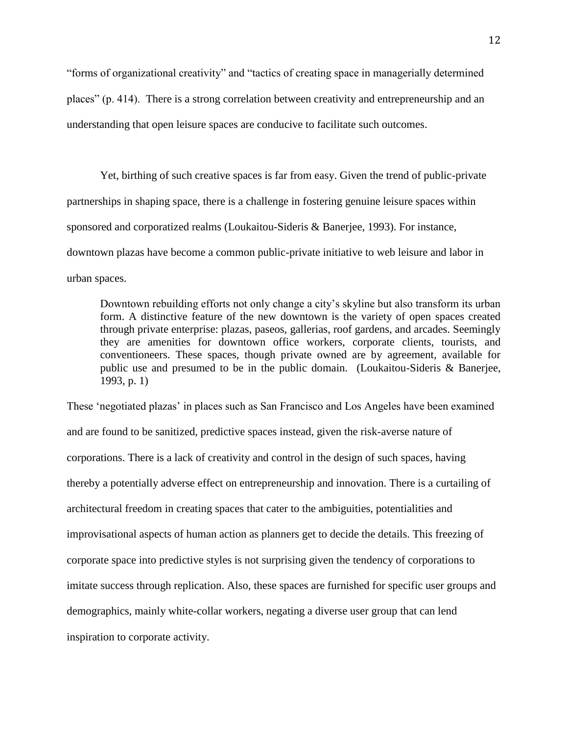"forms of organizational creativity" and "tactics of creating space in managerially determined places" (p. 414). There is a strong correlation between creativity and entrepreneurship and an understanding that open leisure spaces are conducive to facilitate such outcomes.

Yet, birthing of such creative spaces is far from easy. Given the trend of public-private partnerships in shaping space, there is a challenge in fostering genuine leisure spaces within sponsored and corporatized realms (Loukaitou-Sideris & Banerjee, 1993). For instance, downtown plazas have become a common public-private initiative to web leisure and labor in urban spaces.

Downtown rebuilding efforts not only change a city's skyline but also transform its urban form. A distinctive feature of the new downtown is the variety of open spaces created through private enterprise: plazas, paseos, gallerias, roof gardens, and arcades. Seemingly they are amenities for downtown office workers, corporate clients, tourists, and conventioneers. These spaces, though private owned are by agreement, available for public use and presumed to be in the public domain. (Loukaitou-Sideris & Banerjee, 1993, p. 1)

These 'negotiated plazas' in places such as San Francisco and Los Angeles have been examined and are found to be sanitized, predictive spaces instead, given the risk-averse nature of corporations. There is a lack of creativity and control in the design of such spaces, having thereby a potentially adverse effect on entrepreneurship and innovation. There is a curtailing of architectural freedom in creating spaces that cater to the ambiguities, potentialities and improvisational aspects of human action as planners get to decide the details. This freezing of corporate space into predictive styles is not surprising given the tendency of corporations to imitate success through replication. Also, these spaces are furnished for specific user groups and demographics, mainly white-collar workers, negating a diverse user group that can lend inspiration to corporate activity.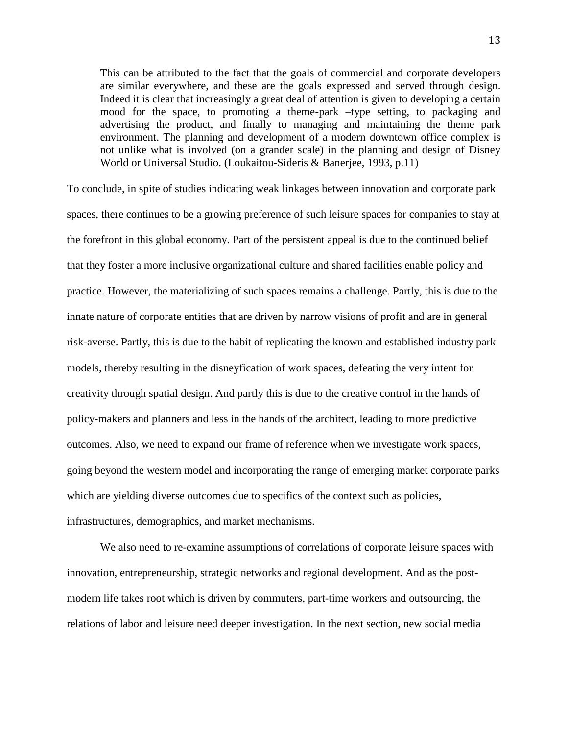This can be attributed to the fact that the goals of commercial and corporate developers are similar everywhere, and these are the goals expressed and served through design. Indeed it is clear that increasingly a great deal of attention is given to developing a certain mood for the space, to promoting a theme-park –type setting, to packaging and advertising the product, and finally to managing and maintaining the theme park environment. The planning and development of a modern downtown office complex is not unlike what is involved (on a grander scale) in the planning and design of Disney World or Universal Studio. (Loukaitou-Sideris & Banerjee, 1993, p.11)

To conclude, in spite of studies indicating weak linkages between innovation and corporate park spaces, there continues to be a growing preference of such leisure spaces for companies to stay at the forefront in this global economy. Part of the persistent appeal is due to the continued belief that they foster a more inclusive organizational culture and shared facilities enable policy and practice. However, the materializing of such spaces remains a challenge. Partly, this is due to the innate nature of corporate entities that are driven by narrow visions of profit and are in general risk-averse. Partly, this is due to the habit of replicating the known and established industry park models, thereby resulting in the disneyfication of work spaces, defeating the very intent for creativity through spatial design. And partly this is due to the creative control in the hands of policy-makers and planners and less in the hands of the architect, leading to more predictive outcomes. Also, we need to expand our frame of reference when we investigate work spaces, going beyond the western model and incorporating the range of emerging market corporate parks which are yielding diverse outcomes due to specifics of the context such as policies, infrastructures, demographics, and market mechanisms.

We also need to re-examine assumptions of correlations of corporate leisure spaces with innovation, entrepreneurship, strategic networks and regional development. And as the postmodern life takes root which is driven by commuters, part-time workers and outsourcing, the relations of labor and leisure need deeper investigation. In the next section, new social media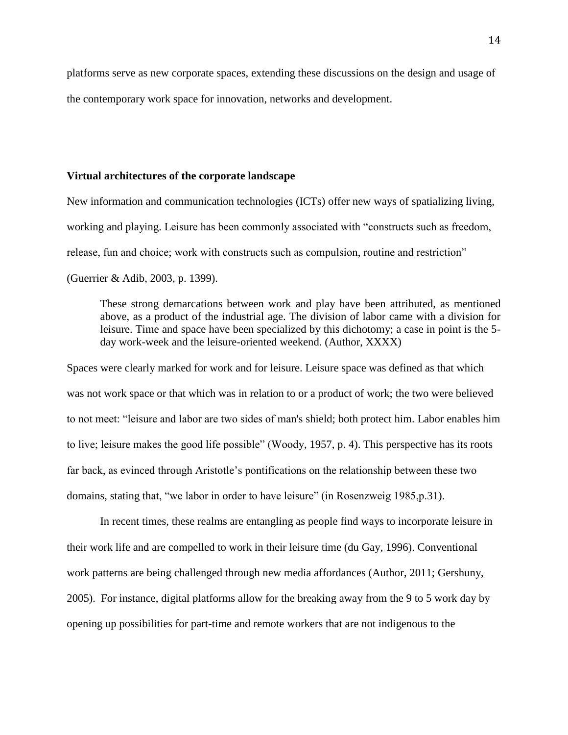platforms serve as new corporate spaces, extending these discussions on the design and usage of the contemporary work space for innovation, networks and development.

# **Virtual architectures of the corporate landscape**

New information and communication technologies (ICTs) offer new ways of spatializing living, working and playing. Leisure has been commonly associated with "constructs such as freedom, release, fun and choice; work with constructs such as compulsion, routine and restriction" (Guerrier & Adib, 2003, p. 1399).

These strong demarcations between work and play have been attributed, as mentioned above, as a product of the industrial age. The division of labor came with a division for leisure. Time and space have been specialized by this dichotomy; a case in point is the 5 day work-week and the leisure-oriented weekend. (Author, XXXX)

Spaces were clearly marked for work and for leisure. Leisure space was defined as that which was not work space or that which was in relation to or a product of work; the two were believed to not meet: "leisure and labor are two sides of man's shield; both protect him. Labor enables him to live; leisure makes the good life possible" (Woody, 1957, p. 4). This perspective has its roots far back, as evinced through Aristotle's pontifications on the relationship between these two domains, stating that, "we labor in order to have leisure" (in Rosenzweig 1985,p.31).

In recent times, these realms are entangling as people find ways to incorporate leisure in their work life and are compelled to work in their leisure time (du Gay, 1996). Conventional work patterns are being challenged through new media affordances (Author, 2011; Gershuny, 2005). For instance, digital platforms allow for the breaking away from the 9 to 5 work day by opening up possibilities for part-time and remote workers that are not indigenous to the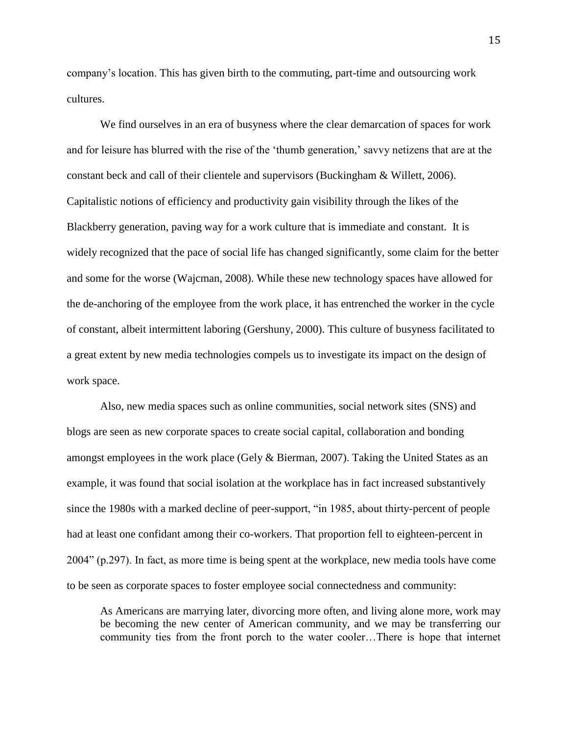company's location. This has given birth to the commuting, part-time and outsourcing work cultures.

We find ourselves in an era of busyness where the clear demarcation of spaces for work and for leisure has blurred with the rise of the 'thumb generation,' savvy netizens that are at the constant beck and call of their clientele and supervisors (Buckingham & Willett, 2006). Capitalistic notions of efficiency and productivity gain visibility through the likes of the Blackberry generation, paving way for a work culture that is immediate and constant. It is widely recognized that the pace of social life has changed significantly, some claim for the better and some for the worse (Wajcman, 2008). While these new technology spaces have allowed for the de-anchoring of the employee from the work place, it has entrenched the worker in the cycle of constant, albeit intermittent laboring (Gershuny, 2000). This culture of busyness facilitated to a great extent by new media technologies compels us to investigate its impact on the design of work space.

Also, new media spaces such as online communities, social network sites (SNS) and blogs are seen as new corporate spaces to create social capital, collaboration and bonding amongst employees in the work place (Gely & Bierman, 2007). Taking the United States as an example, it was found that social isolation at the workplace has in fact increased substantively since the 1980s with a marked decline of peer-support, "in 1985, about thirty-percent of people had at least one confidant among their co-workers. That proportion fell to eighteen-percent in 2004" (p.297). In fact, as more time is being spent at the workplace, new media tools have come to be seen as corporate spaces to foster employee social connectedness and community:

As Americans are marrying later, divorcing more often, and living alone more, work may be becoming the new center of American community, and we may be transferring our community ties from the front porch to the water cooler…There is hope that internet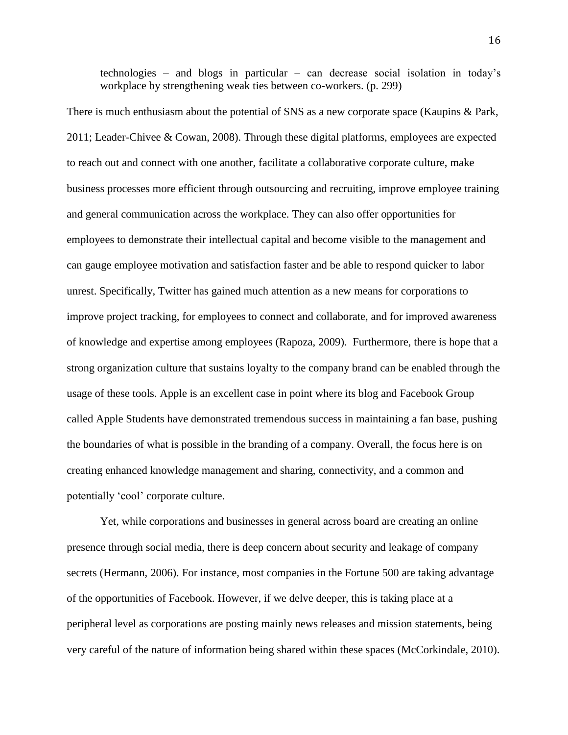technologies – and blogs in particular – can decrease social isolation in today's workplace by strengthening weak ties between co-workers. (p. 299)

There is much enthusiasm about the potential of SNS as a new corporate space (Kaupins & Park, 2011; Leader-Chivee & Cowan, 2008). Through these digital platforms, employees are expected to reach out and connect with one another, facilitate a collaborative corporate culture, make business processes more efficient through outsourcing and recruiting, improve employee training and general communication across the workplace. They can also offer opportunities for employees to demonstrate their intellectual capital and become visible to the management and can gauge employee motivation and satisfaction faster and be able to respond quicker to labor unrest. Specifically, Twitter has gained much attention as a new means for corporations to improve project tracking, for employees to connect and collaborate, and for improved awareness of knowledge and expertise among employees (Rapoza, 2009). Furthermore, there is hope that a strong organization culture that sustains loyalty to the company brand can be enabled through the usage of these tools. Apple is an excellent case in point where its blog and Facebook Group called Apple Students have demonstrated tremendous success in maintaining a fan base, pushing the boundaries of what is possible in the branding of a company. Overall, the focus here is on creating enhanced knowledge management and sharing, connectivity, and a common and potentially 'cool' corporate culture.

Yet, while corporations and businesses in general across board are creating an online presence through social media, there is deep concern about security and leakage of company secrets (Hermann, 2006). For instance, most companies in the Fortune 500 are taking advantage of the opportunities of Facebook. However, if we delve deeper, this is taking place at a peripheral level as corporations are posting mainly news releases and mission statements, being very careful of the nature of information being shared within these spaces (McCorkindale, 2010).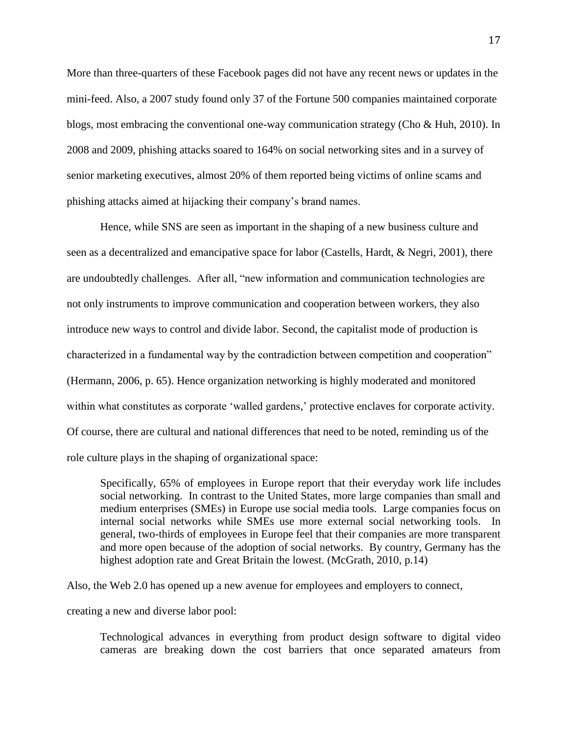More than three-quarters of these Facebook pages did not have any recent news or updates in the mini-feed. Also, a 2007 study found only 37 of the Fortune 500 companies maintained corporate blogs, most embracing the conventional one-way communication strategy (Cho & Huh, 2010). In 2008 and 2009, phishing attacks soared to 164% on social networking sites and in a survey of senior marketing executives, almost 20% of them reported being victims of online scams and phishing attacks aimed at hijacking their company's brand names.

Hence, while SNS are seen as important in the shaping of a new business culture and seen as a decentralized and emancipative space for labor (Castells, Hardt, & Negri, 2001), there are undoubtedly challenges. After all, "new information and communication technologies are not only instruments to improve communication and cooperation between workers, they also introduce new ways to control and divide labor. Second, the capitalist mode of production is characterized in a fundamental way by the contradiction between competition and cooperation" (Hermann, 2006, p. 65). Hence organization networking is highly moderated and monitored within what constitutes as corporate 'walled gardens,' protective enclaves for corporate activity. Of course, there are cultural and national differences that need to be noted, reminding us of the role culture plays in the shaping of organizational space:

Specifically, 65% of employees in Europe report that their everyday work life includes social networking. In contrast to the United States, more large companies than small and medium enterprises (SMEs) in Europe use social media tools. Large companies focus on internal social networks while SMEs use more external social networking tools. In general, two-thirds of employees in Europe feel that their companies are more transparent and more open because of the adoption of social networks. By country, Germany has the highest adoption rate and Great Britain the lowest. (McGrath, 2010, p.14)

Also, the Web 2.0 has opened up a new avenue for employees and employers to connect,

creating a new and diverse labor pool:

Technological advances in everything from product design software to digital video cameras are breaking down the cost barriers that once separated amateurs from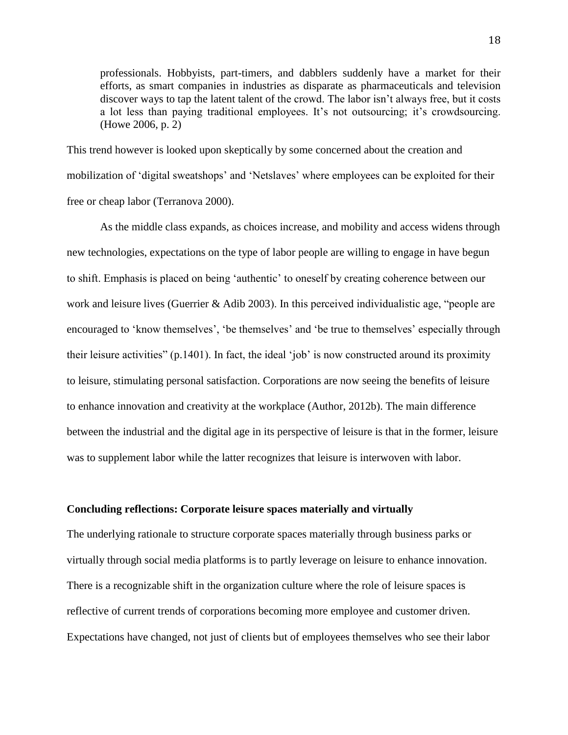professionals. Hobbyists, part-timers, and dabblers suddenly have a market for their efforts, as smart companies in industries as disparate as pharmaceuticals and television discover ways to tap the latent talent of the crowd. The labor isn't always free, but it costs a lot less than paying traditional employees. It's not outsourcing; it's crowdsourcing. (Howe 2006, p. 2)

This trend however is looked upon skeptically by some concerned about the creation and mobilization of 'digital sweatshops' and 'Netslaves' where employees can be exploited for their free or cheap labor (Terranova 2000).

As the middle class expands, as choices increase, and mobility and access widens through new technologies, expectations on the type of labor people are willing to engage in have begun to shift. Emphasis is placed on being 'authentic' to oneself by creating coherence between our work and leisure lives (Guerrier & Adib 2003). In this perceived individualistic age, "people are encouraged to 'know themselves', 'be themselves' and 'be true to themselves' especially through their leisure activities" (p.1401). In fact, the ideal 'job' is now constructed around its proximity to leisure, stimulating personal satisfaction. Corporations are now seeing the benefits of leisure to enhance innovation and creativity at the workplace (Author, 2012b). The main difference between the industrial and the digital age in its perspective of leisure is that in the former, leisure was to supplement labor while the latter recognizes that leisure is interwoven with labor.

# **Concluding reflections: Corporate leisure spaces materially and virtually**

The underlying rationale to structure corporate spaces materially through business parks or virtually through social media platforms is to partly leverage on leisure to enhance innovation. There is a recognizable shift in the organization culture where the role of leisure spaces is reflective of current trends of corporations becoming more employee and customer driven. Expectations have changed, not just of clients but of employees themselves who see their labor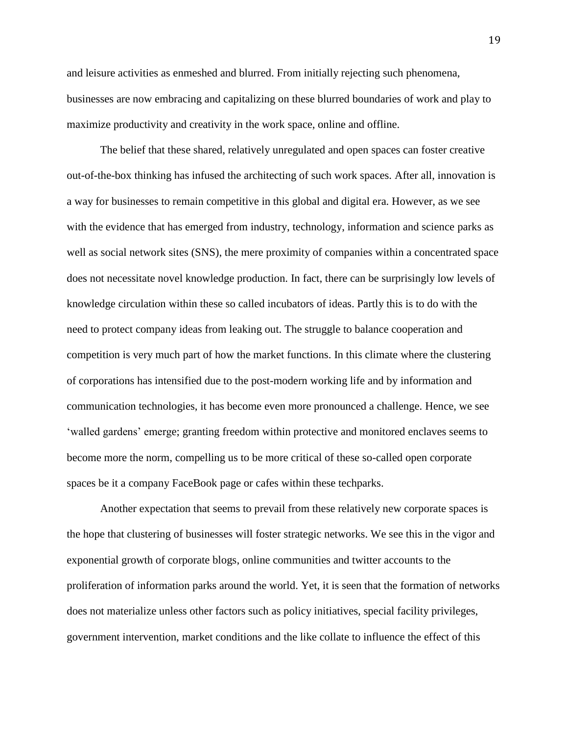and leisure activities as enmeshed and blurred. From initially rejecting such phenomena, businesses are now embracing and capitalizing on these blurred boundaries of work and play to maximize productivity and creativity in the work space, online and offline.

The belief that these shared, relatively unregulated and open spaces can foster creative out-of-the-box thinking has infused the architecting of such work spaces. After all, innovation is a way for businesses to remain competitive in this global and digital era. However, as we see with the evidence that has emerged from industry, technology, information and science parks as well as social network sites (SNS), the mere proximity of companies within a concentrated space does not necessitate novel knowledge production. In fact, there can be surprisingly low levels of knowledge circulation within these so called incubators of ideas. Partly this is to do with the need to protect company ideas from leaking out. The struggle to balance cooperation and competition is very much part of how the market functions. In this climate where the clustering of corporations has intensified due to the post-modern working life and by information and communication technologies, it has become even more pronounced a challenge. Hence, we see 'walled gardens' emerge; granting freedom within protective and monitored enclaves seems to become more the norm, compelling us to be more critical of these so-called open corporate spaces be it a company FaceBook page or cafes within these techparks.

Another expectation that seems to prevail from these relatively new corporate spaces is the hope that clustering of businesses will foster strategic networks. We see this in the vigor and exponential growth of corporate blogs, online communities and twitter accounts to the proliferation of information parks around the world. Yet, it is seen that the formation of networks does not materialize unless other factors such as policy initiatives, special facility privileges, government intervention, market conditions and the like collate to influence the effect of this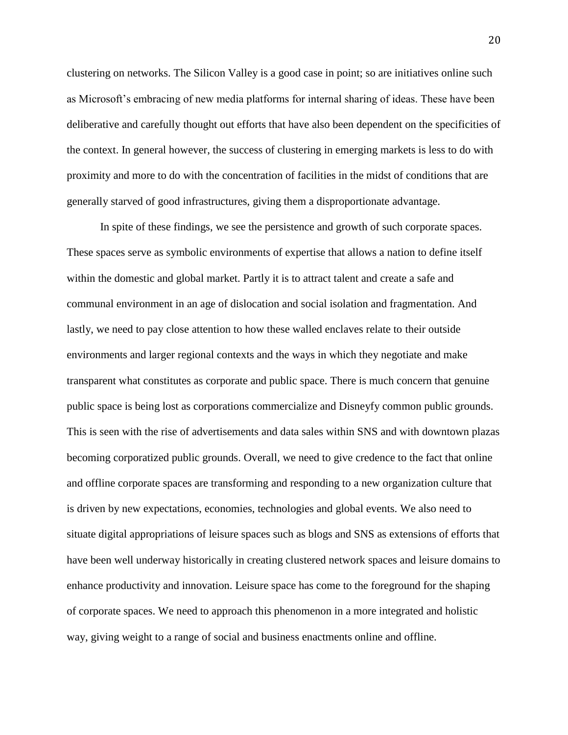clustering on networks. The Silicon Valley is a good case in point; so are initiatives online such as Microsoft's embracing of new media platforms for internal sharing of ideas. These have been deliberative and carefully thought out efforts that have also been dependent on the specificities of the context. In general however, the success of clustering in emerging markets is less to do with proximity and more to do with the concentration of facilities in the midst of conditions that are generally starved of good infrastructures, giving them a disproportionate advantage.

In spite of these findings, we see the persistence and growth of such corporate spaces. These spaces serve as symbolic environments of expertise that allows a nation to define itself within the domestic and global market. Partly it is to attract talent and create a safe and communal environment in an age of dislocation and social isolation and fragmentation. And lastly, we need to pay close attention to how these walled enclaves relate to their outside environments and larger regional contexts and the ways in which they negotiate and make transparent what constitutes as corporate and public space. There is much concern that genuine public space is being lost as corporations commercialize and Disneyfy common public grounds. This is seen with the rise of advertisements and data sales within SNS and with downtown plazas becoming corporatized public grounds. Overall, we need to give credence to the fact that online and offline corporate spaces are transforming and responding to a new organization culture that is driven by new expectations, economies, technologies and global events. We also need to situate digital appropriations of leisure spaces such as blogs and SNS as extensions of efforts that have been well underway historically in creating clustered network spaces and leisure domains to enhance productivity and innovation. Leisure space has come to the foreground for the shaping of corporate spaces. We need to approach this phenomenon in a more integrated and holistic way, giving weight to a range of social and business enactments online and offline.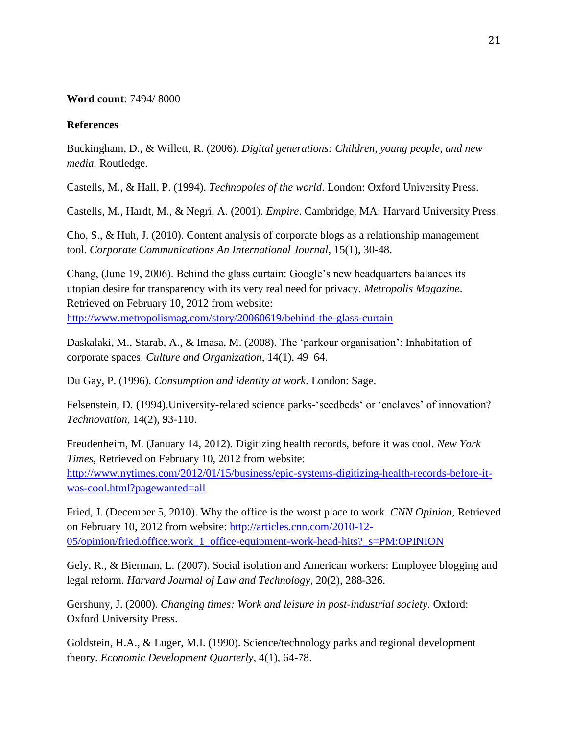# **Word count**: 7494/ 8000

# **References**

Buckingham, D., & Willett, R. (2006). *Digital generations: Children, young people, and new media.* Routledge.

Castells, M., & Hall, P. (1994). *Technopoles of the world*. London: Oxford University Press.

Castells, M., Hardt, M., & Negri, A. (2001). *Empire*. Cambridge, MA: Harvard University Press.

Cho, S., & Huh, J. (2010). Content analysis of corporate blogs as a relationship management tool. *Corporate Communications An International Journal*, 15(1), 30-48.

Chang, (June 19, 2006). Behind the glass curtain: Google's new headquarters balances its utopian desire for transparency with its very real need for privacy. *Metropolis Magazine*. Retrieved on February 10, 2012 from website: <http://www.metropolismag.com/story/20060619/behind-the-glass-curtain>

Daskalaki, M., Starab, A., & Imasa, M. (2008). The 'parkour organisation': Inhabitation of corporate spaces. *Culture and Organization*, 14(1), 49–64.

Du Gay, P. (1996). *Consumption and identity at work*. London: Sage.

Felsenstein, D. (1994).University-related science parks-'seedbeds' or 'enclaves' of innovation? *Technovation,* 14(2), 93-110.

Freudenheim, M. (January 14, 2012). Digitizing health records, before it was cool. *New York Times,* Retrieved on February 10, 2012 from website: [http://www.nytimes.com/2012/01/15/business/epic-systems-digitizing-health-records-before-it](http://www.nytimes.com/2012/01/15/business/epic-systems-digitizing-health-records-before-it-was-cool.html?pagewanted=all)[was-cool.html?pagewanted=all](http://www.nytimes.com/2012/01/15/business/epic-systems-digitizing-health-records-before-it-was-cool.html?pagewanted=all)

Fried, J. (December 5, 2010). Why the office is the worst place to work. *CNN Opinion*, Retrieved on February 10, 2012 from website: [http://articles.cnn.com/2010-12-](http://articles.cnn.com/2010-12-05/opinion/fried.office.work_1_office-equipment-work-head-hits?_s=PM:OPINION) [05/opinion/fried.office.work\\_1\\_office-equipment-work-head-hits?\\_s=PM:OPINION](http://articles.cnn.com/2010-12-05/opinion/fried.office.work_1_office-equipment-work-head-hits?_s=PM:OPINION)

Gely, R., & Bierman, L. (2007). Social isolation and American workers: Employee blogging and legal reform. *Harvard Journal of Law and Technology*, 20(2), 288-326.

Gershuny, J. (2000). *Changing times: Work and leisure in post-industrial society*. Oxford: Oxford University Press.

Goldstein, H.A., & Luger, M.I. (1990). Science/technology parks and regional development theory. *Economic Development Quarterly*, 4(1), 64-78.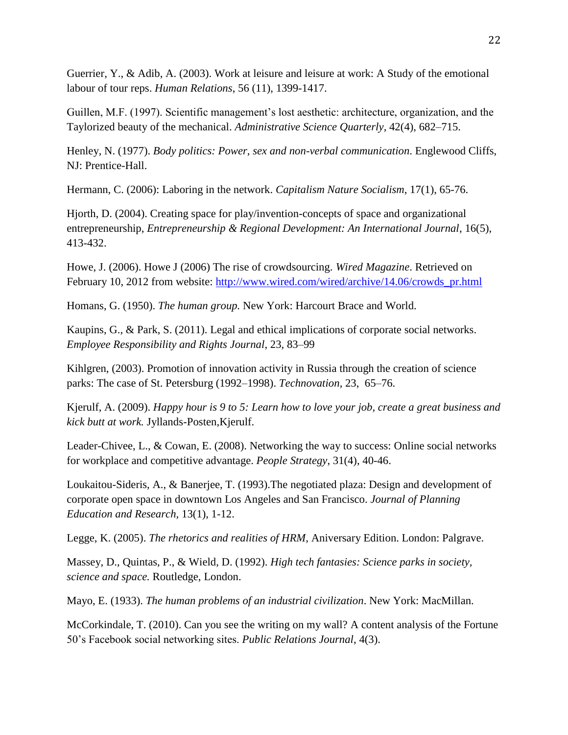Guerrier, Y., & Adib, A. (2003). Work at leisure and leisure at work: A Study of the emotional labour of tour reps. *Human Relations*, 56 (11), 1399-1417.

Guillen, M.F. (1997). Scientific management's lost aesthetic: architecture, organization, and the Taylorized beauty of the mechanical. *Administrative Science Quarterly*, 42(4), 682–715.

Henley, N. (1977). *Body politics: Power, sex and non-verbal communication*. Englewood Cliffs, NJ: Prentice-Hall.

Hermann, C. (2006): Laboring in the network. *Capitalism Nature Socialism*, 17(1), 65-76.

Hjorth, D. (2004). Creating space for play/invention-concepts of space and organizational entrepreneurship, *Entrepreneurship & Regional Development: An International Journal*, 16(5), 413-432.

Howe, J. (2006). Howe J (2006) The rise of crowdsourcing. *Wired Magazine*. Retrieved on February 10, 2012 from website: [http://www.wired.com/wired/archive/14.06/crowds\\_pr.html](http://www.wired.com/wired/archive/14.06/crowds_pr.html)

Homans, G. (1950). *The human group.* New York: Harcourt Brace and World.

Kaupins, G., & Park, S. (2011). Legal and ethical implications of corporate social networks. *Employee Responsibility and Rights Journal*, 23, 83–99

Kihlgren, (2003). Promotion of innovation activity in Russia through the creation of science parks: The case of St. Petersburg (1992–1998). *Technovation*, 23, 65–76.

Kjerulf, A. (2009). *Happy hour is 9 to 5: Learn how to love your job, create a great business and kick butt at work.* Jyllands-Posten,Kjerulf.

Leader-Chivee, L., & Cowan, E. (2008). Networking the way to success: Online social networks for workplace and competitive advantage. *People Strategy*, 31(4), 40-46.

Loukaitou-Sideris, A., & Banerjee, T. (1993).The negotiated plaza: Design and development of corporate open space in downtown Los Angeles and San Francisco. *Journal of Planning Education and Research,* 13(1), 1-12.

Legge, K. (2005). *The rhetorics and realities of HRM*, Aniversary Edition. London: Palgrave.

Massey, D., Quintas, P., & Wield, D. (1992). *High tech fantasies: Science parks in society, science and space.* Routledge, London.

Mayo, E. (1933). *The human problems of an industrial civilization*. New York: MacMillan.

McCorkindale, T. (2010). Can you see the writing on my wall? A content analysis of the Fortune 50's Facebook social networking sites. *Public Relations Journal*, 4(3).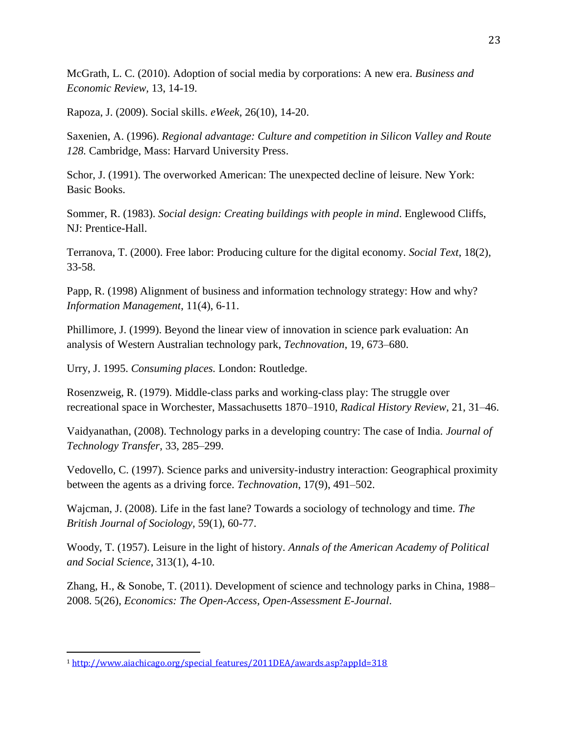McGrath, L. C. (2010). Adoption of social media by corporations: A new era. *Business and Economic Review,* 13, 14-19.

Rapoza, J. (2009). Social skills. *eWeek,* 26(10), 14-20.

Saxenien, A. (1996). *Regional advantage: Culture and competition in Silicon Valley and Route 128.* Cambridge, Mass: Harvard University Press.

Schor, J. (1991). The overworked American: The unexpected decline of leisure. New York: Basic Books.

Sommer, R. (1983). *Social design: Creating buildings with people in mind*. Englewood Cliffs, NJ: Prentice-Hall.

Terranova, T. (2000). Free labor: Producing culture for the digital economy. *Social Text*, 18(2), 33-58.

Papp, R. (1998) Alignment of business and information technology strategy: How and why? *Information Management*, 11(4), 6-11.

Phillimore, J. (1999). Beyond the linear view of innovation in science park evaluation: An analysis of Western Australian technology park, *Technovation*, 19, 673–680.

Urry, J. 1995. *Consuming places.* London: Routledge.

Rosenzweig, R. (1979). Middle-class parks and working-class play: The struggle over recreational space in Worchester, Massachusetts 1870–1910, *Radical History Review*, 21, 31–46.

Vaidyanathan, (2008). Technology parks in a developing country: The case of India. *Journal of Technology Transfer*, 33, 285–299.

Vedovello, C. (1997). Science parks and university-industry interaction: Geographical proximity between the agents as a driving force. *Technovation*, 17(9), 491–502.

Wajcman, J. (2008). Life in the fast lane? Towards a sociology of technology and time. *The British Journal of Sociology,* 59(1), 60-77.

Woody, T. (1957). Leisure in the light of history. *Annals of the American Academy of Political and Social Science*, 313(1), 4-10.

Zhang, H., & Sonobe, T. (2011). Development of science and technology parks in China, 1988– 2008. 5(26), *Economics: The Open-Access, Open-Assessment E-Journal*.

 $\overline{a}$ 

<sup>1</sup> [http://www.aiachicago.org/special\\_features/2011DEA/awards.asp?appId=318](http://www.aiachicago.org/special_features/2011DEA/awards.asp?appId=318)